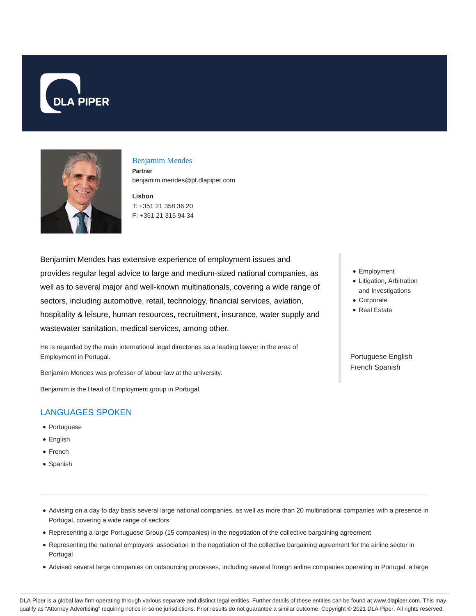



#### Benjamim Mendes

**Partner** benjamim.mendes@pt.dlapiper.com

**Lisbon** T: +351 21 358 36 20 F: +351 21 315 94 34

Benjamim Mendes has extensive experience of employment issues and provides regular legal advice to large and medium-sized national companies, as well as to several major and well-known multinationals, covering a wide range of sectors, including automotive, retail, technology, financial services, aviation, hospitality & leisure, human resources, recruitment, insurance, water supply and wastewater sanitation, medical services, among other.

He is regarded by the main international legal directories as a leading lawyer in the area of Employment in Portugal.

Benjamim Mendes was professor of labour law at the university.

Benjamim is the Head of Employment group in Portugal.

# LANGUAGES SPOKEN

- Portuguese
- English
- French
- Spanish
- Employment
- Litigation, Arbitration and Investigations
- Corporate
- Real Estate

Portuguese English French Spanish

Advising on a day to day basis several large national companies, as well as more than 20 multinational companies with a presence in Portugal, covering a wide range of sectors

- Representing a large Portuguese Group (15 companies) in the negotiation of the collective bargaining agreement
- Representing the national employers' association in the negotiation of the collective bargaining agreement for the airline sector in Portugal
- Advised several large companies on outsourcing processes, including several foreign airline companies operating in Portugal, a large

DLA Piper is a global law firm operating through various separate and distinct legal entities. Further details of these entities can be found at www.dlapiper.com. This may qualify as "Attorney Advertising" requiring notice in some jurisdictions. Prior results do not guarantee a similar outcome. Copyright © 2021 DLA Piper. All rights reserved.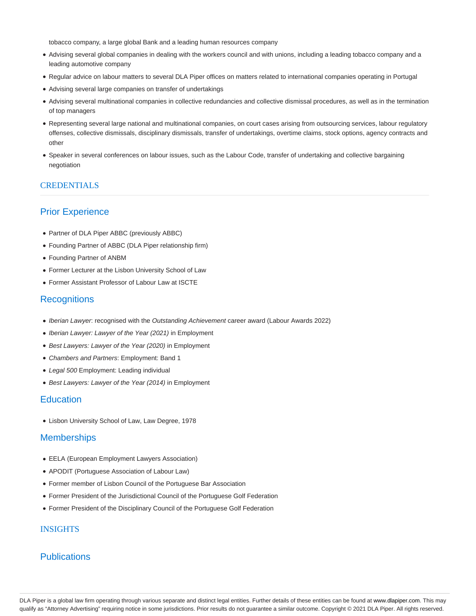tobacco company, a large global Bank and a leading human resources company

- Advising several global companies in dealing with the workers council and with unions, including a leading tobacco company and a leading automotive company
- Regular advice on labour matters to several DLA Piper offices on matters related to international companies operating in Portugal
- Advising several large companies on transfer of undertakings
- Advising several multinational companies in collective redundancies and collective dismissal procedures, as well as in the termination of top managers
- Representing several large national and multinational companies, on court cases arising from outsourcing services, labour regulatory offenses, collective dismissals, disciplinary dismissals, transfer of undertakings, overtime claims, stock options, agency contracts and other
- Speaker in several conferences on labour issues, such as the Labour Code, transfer of undertaking and collective bargaining negotiation

### CREDENTIALS

# Prior Experience

- Partner of DLA Piper ABBC (previously ABBC)
- Founding Partner of ABBC (DLA Piper relationship firm)
- Founding Partner of ANBM
- Former Lecturer at the Lisbon University School of Law
- Former Assistant Professor of Labour Law at ISCTE

### **Recognitions**

- Iberian Lawyer: recognised with the Outstanding Achievement career award (Labour Awards 2022)
- Iberian Lawyer: Lawyer of the Year (2021) in Employment
- Best Lawyers: Lawyer of the Year (2020) in Employment
- Chambers and Partners: Employment: Band 1
- Legal 500 Employment: Leading individual
- Best Lawyers: Lawyer of the Year (2014) in Employment

## **Education**

Lisbon University School of Law, Law Degree, 1978

#### **Memberships**

- EELA (European Employment Lawyers Association)
- APODIT (Portuguese Association of Labour Law)
- Former member of Lisbon Council of the Portuguese Bar Association
- Former President of the Jurisdictional Council of the Portuguese Golf Federation
- Former President of the Disciplinary Council of the Portuguese Golf Federation

#### INSIGHTS

### **Publications**